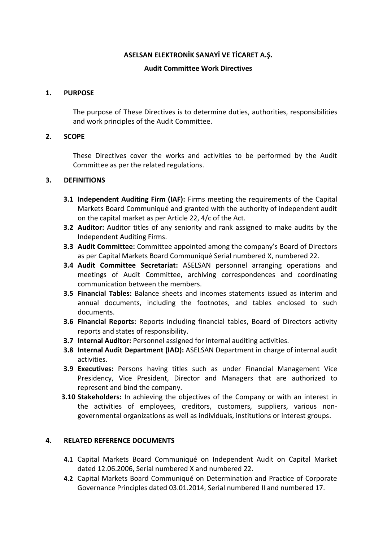### **ASELSAN ELEKTRONİK SANAYİ VE TİCARET A.Ş.**

### **Audit Committee Work Directives**

### **1. PURPOSE**

The purpose of These Directives is to determine duties, authorities, responsibilities and work principles of the Audit Committee.

## **2. SCOPE**

These Directives cover the works and activities to be performed by the Audit Committee as per the related regulations.

## **3. DEFINITIONS**

- **3.1 Independent Auditing Firm (IAF):** Firms meeting the requirements of the Capital Markets Board Communiqué and granted with the authority of independent audit on the capital market as per Article 22, 4/c of the Act.
- **3.2 Auditor:** Auditor titles of any seniority and rank assigned to make audits by the Independent Auditing Firms.
- **3.3 Audit Committee:** Committee appointed among the company's Board of Directors as per Capital Markets Board Communiqué Serial numbered X, numbered 22.
- **3.4 Audit Committee Secretariat:** ASELSAN personnel arranging operations and meetings of Audit Committee, archiving correspondences and coordinating communication between the members.
- **3.5 Financial Tables:** Balance sheets and incomes statements issued as interim and annual documents, including the footnotes, and tables enclosed to such documents.
- **3.6 Financial Reports:** Reports including financial tables, Board of Directors activity reports and states of responsibility.
- **3.7 Internal Auditor:** Personnel assigned for internal auditing activities.
- **3.8 Internal Audit Department (IAD):** ASELSAN Department in charge of internal audit activities.
- **3.9 Executives:** Persons having titles such as under Financial Management Vice Presidency, Vice President, Director and Managers that are authorized to represent and bind the company.
- **3.10 Stakeholders:** In achieving the objectives of the Company or with an interest in the activities of employees, creditors, customers, suppliers, various nongovernmental organizations as well as individuals, institutions or interest groups.

# **4. RELATED REFERENCE DOCUMENTS**

- **4.1** Capital Markets Board Communiqué on Independent Audit on Capital Market dated 12.06.2006, Serial numbered X and numbered 22.
- **4.2** Capital Markets Board Communiqué on Determination and Practice of Corporate Governance Principles dated 03.01.2014, Serial numbered II and numbered 17.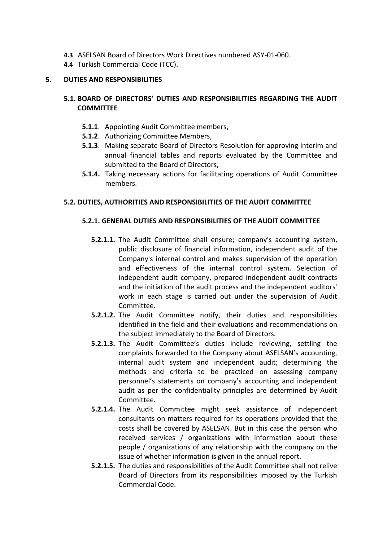- **4.3** ASELSAN Board of Directors Work Directives numbered ASY-01-060.
- **4.4** Turkish Commercial Code (TCC).

## **5. DUTIES AND RESPONSIBILITIES**

# **5.1. BOARD OF DIRECTORS' DUTIES AND RESPONSIBILITIES REGARDING THE AUDIT COMMITTEE**

- **5.1.1**. Appointing Audit Committee members,
- **5.1.2**. Authorizing Committee Members,
- **5.1.3**. Making separate Board of Directors Resolution for approving interim and annual financial tables and reports evaluated by the Committee and submitted to the Board of Directors,
- **5.1.4.** Taking necessary actions for facilitating operations of Audit Committee members.

## **5.2. DUTIES, AUTHORITIES AND RESPONSIBILITIES OF THE AUDIT COMMITTEE**

## **5.2.1. GENERAL DUTIES AND RESPONSIBILITIES OF THE AUDIT COMMITTEE**

- **5.2.1.1.** The Audit Committee shall ensure; company's accounting system, public disclosure of financial information, independent audit of the Company's internal control and makes supervision of the operation and effectiveness of the internal control system. Selection of independent audit company, prepared independent audit contracts and the initiation of the audit process and the independent auditors' work in each stage is carried out under the supervision of Audit Committee.
- **5.2.1.2.** The Audit Committee notify, their duties and responsibilities identified in the field and their evaluations and recommendations on the subject immediately to the Board of Directors.
- **5.2.1.3.** The Audit Committee's duties include reviewing, settling the complaints forwarded to the Company about ASELSAN's accounting, internal audit system and independent audit; determining the methods and criteria to be practiced on assessing company personnel's statements on company's accounting and independent audit as per the confidentiality principles are determined by Audit Committee.
- **5.2.1.4.** The Audit Committee might seek assistance of independent consultants on matters required for its operations provided that the costs shall be covered by ASELSAN. But in this case the person who received services / organizations with information about these people / organizations of any relationship with the company on the issue of whether information is given in the annual report.
- **5.2.1.5.** The duties and responsibilities of the Audit Committee shall not relive Board of Directors from its responsibilities imposed by the Turkish Commercial Code.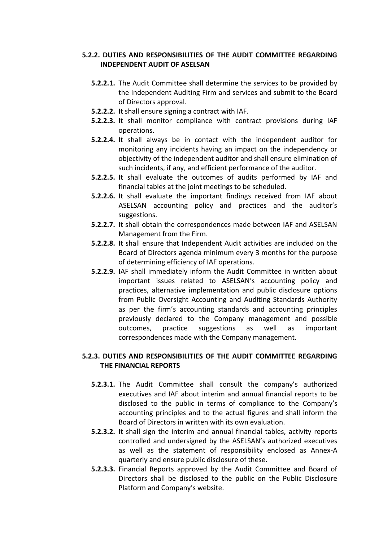# **5.2.2. DUTIES AND RESPONSIBILITIES OF THE AUDIT COMMITTEE REGARDING INDEPENDENT AUDIT OF ASELSAN**

- **5.2.2.1.** The Audit Committee shall determine the services to be provided by the Independent Auditing Firm and services and submit to the Board of Directors approval.
- **5.2.2.2.** It shall ensure signing a contract with IAF.
- **5.2.2.3.** It shall monitor compliance with contract provisions during IAF operations.
- **5.2.2.4.** It shall always be in contact with the independent auditor for monitoring any incidents having an impact on the independency or objectivity of the independent auditor and shall ensure elimination of such incidents, if any, and efficient performance of the auditor.
- **5.2.2.5.** It shall evaluate the outcomes of audits performed by IAF and financial tables at the joint meetings to be scheduled.
- **5.2.2.6.** It shall evaluate the important findings received from IAF about ASELSAN accounting policy and practices and the auditor's suggestions.
- **5.2.2.7.** It shall obtain the correspondences made between IAF and ASELSAN Management from the Firm.
- **5.2.2.8.** It shall ensure that Independent Audit activities are included on the Board of Directors agenda minimum every 3 months for the purpose of determining efficiency of IAF operations.
- **5.2.2.9.** IAF shall immediately inform the Audit Committee in written about important issues related to ASELSAN's accounting policy and practices, alternative implementation and public disclosure options from Public Oversight Accounting and Auditing Standards Authority as per the firm's accounting standards and accounting principles previously declared to the Company management and possible outcomes, practice suggestions as well as important correspondences made with the Company management.

# **5.2.3. DUTIES AND RESPONSIBILITIES OF THE AUDIT COMMITTEE REGARDING THE FINANCIAL REPORTS**

- **5.2.3.1.** The Audit Committee shall consult the company's authorized executives and IAF about interim and annual financial reports to be disclosed to the public in terms of compliance to the Company's accounting principles and to the actual figures and shall inform the Board of Directors in written with its own evaluation.
- **5.2.3.2.** It shall sign the interim and annual financial tables, activity reports controlled and undersigned by the ASELSAN's authorized executives as well as the statement of responsibility enclosed as Annex-A quarterly and ensure public disclosure of these.
- **5.2.3.3.** Financial Reports approved by the Audit Committee and Board of Directors shall be disclosed to the public on the Public Disclosure Platform and Company's website.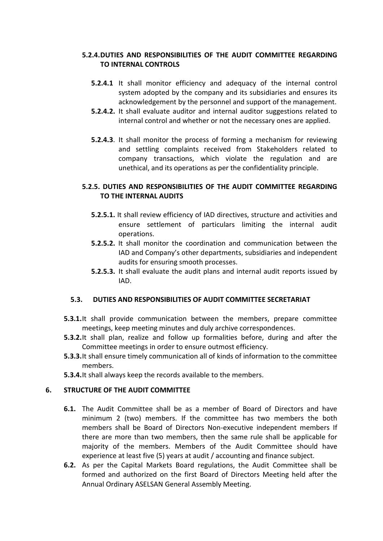# **5.2.4.DUTIES AND RESPONSIBILITIES OF THE AUDIT COMMITTEE REGARDING TO INTERNAL CONTROLS**

- **5.2.4.1** It shall monitor efficiency and adequacy of the internal control system adopted by the company and its subsidiaries and ensures its acknowledgement by the personnel and support of the management.
- **5.2.4.2.** It shall evaluate auditor and internal auditor suggestions related to internal control and whether or not the necessary ones are applied.
- **5.2.4.3**. It shall monitor the process of forming a mechanism for reviewing and settling complaints received from Stakeholders related to company transactions, which violate the regulation and are unethical, and its operations as per the confidentiality principle.

## **5.2.5. DUTIES AND RESPONSIBILITIES OF THE AUDIT COMMITTEE REGARDING TO THE INTERNAL AUDITS**

- **5.2.5.1.** It shall review efficiency of IAD directives, structure and activities and ensure settlement of particulars limiting the internal audit operations.
- **5.2.5.2.** It shall monitor the coordination and communication between the IAD and Company's other departments, subsidiaries and independent audits for ensuring smooth processes.
- **5.2.5.3.** It shall evaluate the audit plans and internal audit reports issued by IAD.

# **5.3. DUTIES AND RESPONSIBILITIES OF AUDIT COMMITTEE SECRETARIAT**

- **5.3.1.**It shall provide communication between the members, prepare committee meetings, keep meeting minutes and duly archive correspondences.
- **5.3.2.**It shall plan, realize and follow up formalities before, during and after the Committee meetings in order to ensure outmost efficiency.
- **5.3.3.**It shall ensure timely communication all of kinds of information to the committee members.
- **5.3.4.**It shall always keep the records available to the members.

# **6. STRUCTURE OF THE AUDIT COMMITTEE**

- **6.1.** The Audit Committee shall be as a member of Board of Directors and have minimum 2 (two) members. If the committee has two members the both members shall be Board of Directors Non-executive independent members If there are more than two members, then the same rule shall be applicable for majority of the members. Members of the Audit Committee should have experience at least five (5) years at audit / accounting and finance subject.
- **6.2.** As per the Capital Markets Board regulations, the Audit Committee shall be formed and authorized on the first Board of Directors Meeting held after the Annual Ordinary ASELSAN General Assembly Meeting.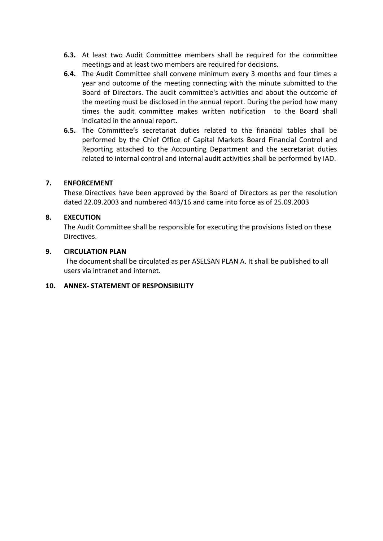- **6.3.** At least two Audit Committee members shall be required for the committee meetings and at least two members are required for decisions.
- **6.4.** The Audit Committee shall convene minimum every 3 months and four times a year and outcome of the meeting connecting with the minute submitted to the Board of Directors. The audit committee's activities and about the outcome of the meeting must be disclosed in the annual report. During the period how many times the audit committee makes written notification to the Board shall indicated in the annual report.
- **6.5.** The Committee's secretariat duties related to the financial tables shall be performed by the Chief Office of Capital Markets Board Financial Control and Reporting attached to the Accounting Department and the secretariat duties related to internal control and internal audit activities shall be performed by IAD.

### **7. ENFORCEMENT**

These Directives have been approved by the Board of Directors as per the resolution dated 22.09.2003 and numbered 443/16 and came into force as of 25.09.2003

## **8. EXECUTION**

The Audit Committee shall be responsible for executing the provisions listed on these Directives.

## **9. CIRCULATION PLAN**

The document shall be circulated as per ASELSAN PLAN A. It shall be published to all users via intranet and internet.

### **10. ANNEX- STATEMENT OF RESPONSIBILITY**